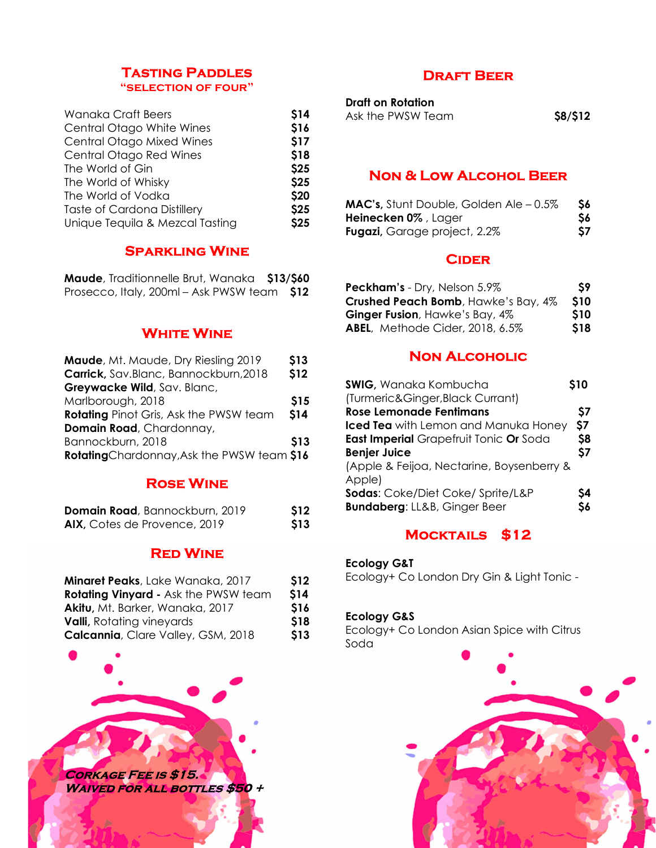#### **TASTING PADDLES** "selection of four"

| Wanaka Craft Beers                 | \$14       | Ask the PWSW Team                             | \$8/\$12 |
|------------------------------------|------------|-----------------------------------------------|----------|
| Central Otago White Wines          | \$16       |                                               |          |
| Central Otago Mixed Wines          | <b>S17</b> |                                               |          |
| Central Otago Red Wines            | \$18       |                                               |          |
| The World of Gin                   | \$25       |                                               |          |
| The World of Whisky                | \$25       | <b>NON &amp; LOW ALCOHOL BEER</b>             |          |
| The World of Vodka                 | \$20       |                                               |          |
| <b>Taste of Cardona Distillery</b> | \$25       | <b>MAC's, Stunt Double, Golden Ale - 0.5%</b> | \$6      |
| Unique Tequila & Mezcal Tasting    | \$25       | Heinecken 0%, Lager                           | \$6      |
|                                    |            | $\mathbf{E}$                                  | ¢т       |

## Sparkling Wine

| <b>Maude</b> , Traditionnelle Brut, Wanaka \$13/\$60 |           |
|------------------------------------------------------|-----------|
| Prosecco, Italy, 200ml - Ask PWSW team \$12          | Peckham's |

# **WHITE WINE**

| Maude, Mt. Maude, Dry Riesling 2019           | \$13       | NON ALCOH                             |
|-----------------------------------------------|------------|---------------------------------------|
| Carrick, Sav.Blanc, Bannockburn, 2018         | \$12       |                                       |
| Greywacke Wild, Sav. Blanc,                   |            | <b>SWIG</b> , Wanaka Kombucha         |
| Marlborough, 2018                             | <b>S15</b> | (Turmeric&Ginger,Black Curre          |
| <b>Rotating</b> Pinot Gris, Ask the PWSW team | <b>S14</b> | <b>Rose Lemonade Fentimans</b>        |
| Domain Road, Chardonnay,                      |            | <b>Iced Tea</b> with Lemon and Mo     |
| Bannockburn, 2018                             | <b>S13</b> | <b>East Imperial Grapefruit Tonio</b> |
| RotatingChardonnay, Ask the PWSW team \$16    |            | <b>Benjer Juice</b>                   |
|                                               |            |                                       |

# Rose Wine

| <b>Domain Road</b> , Bannockburn, 2019 | \$12       | <b>Bundaberg:</b> |
|----------------------------------------|------------|-------------------|
| AIX, Cotes de Provence, 2019           | <b>S13</b> |                   |

## Red Wine

| Minaret Peaks, Lake Wanaka, 2017            | \$12       | Ecology+ Co London Dry Gin & Light Tonic -          |
|---------------------------------------------|------------|-----------------------------------------------------|
| <b>Rotating Vinyard - Ask the PWSW team</b> | <b>S14</b> |                                                     |
| <b>Akitu, Mt. Barker, Wanaka, 2017</b>      | <b>S16</b> |                                                     |
| <b>Valli</b> , Rotating vineyards           | \$18       | <b>Ecology G&amp;S</b>                              |
| <b>Calcannia</b> , Clare Valley, GSM, 2018  | \$13       | Ecology+ Co London Asian Spice with Citrus<br>codo. |



# Draft Beer

| <b>Draft on Rotation</b> |          |
|--------------------------|----------|
| Ask the PWSW Team        | \$8/\$12 |

| Ask the PWSW Team | \$8/\$12 |
|-------------------|----------|
|                   |          |

| <b>MAC's, Stunt Double, Golden Ale - 0.5%</b> |    |  |
|-----------------------------------------------|----|--|
| Heinecken 0%, Lager                           | S6 |  |
| <b>Fugazi</b> , Garage project, 2.2%          |    |  |

#### **CIDER**

| S9         |  |
|------------|--|
| <b>S10</b> |  |
| <b>S10</b> |  |
| <b>S18</b> |  |
|            |  |

# **NON ALCOHOLIC**

| <b>SWIG</b> , Wanaka Kombucha                 | <b>S10</b> |  |
|-----------------------------------------------|------------|--|
| (Turmeric&Ginger, Black Currant)              |            |  |
| <b>Rose Lemonade Fentimans</b>                | 57         |  |
| <b>Iced Tea</b> with Lemon and Manuka Honey   | \$7        |  |
| <b>East Imperial</b> Grapefruit Tonic Or Soda | \$8        |  |
| <b>Benjer Juice</b>                           | \$7        |  |
| (Apple & Feijoa, Nectarine, Boysenberry &     |            |  |
| Apple)                                        |            |  |
| Sodas: Coke/Diet Coke/ Sprite/L&P             | S4         |  |
| <b>Bundaberg: LL&amp;B, Ginger Beer</b>       | \$6        |  |

# Mocktails \$12

#### Ecology G&T

## Ecology G&S

Soda